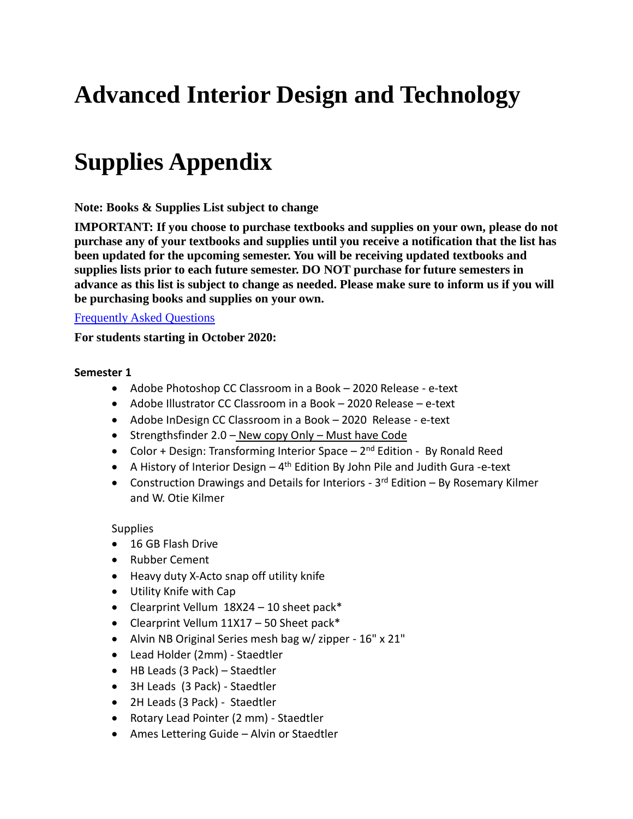# **Advanced Interior Design and Technology**

# **Supplies Appendix**

**Note: Books & Supplies List subject to change**

**IMPORTANT: If you choose to purchase textbooks and supplies on your own, please do not purchase any of your textbooks and supplies until you receive a notification that the list has been updated for the upcoming semester. You will be receiving updated textbooks and supplies lists prior to each future semester. DO NOT purchase for future semesters in advance as this list is subject to change as needed. Please make sure to inform us if you will be purchasing books and supplies on your own.**

# [Frequently Asked Questions](https://digitalartschool.com/booksandsuppliesfaq)

**For students starting in October 2020:**

## **Semester 1**

- Adobe Photoshop CC Classroom in a Book 2020 Release e-text
- Adobe Illustrator CC Classroom in a Book 2020 Release e-text
- Adobe InDesign CC Classroom in a Book 2020 Release e-text
- Strengthsfinder 2.0 New copy Only Must have Code
- Color + Design: Transforming Interior Space 2<sup>nd</sup> Edition By Ronald Reed
- A History of Interior Design 4<sup>th</sup> Edition By John Pile and Judith Gura -e-text
- Construction Drawings and Details for Interiors 3<sup>rd</sup> Edition By Rosemary Kilmer and W. Otie Kilmer

#### Supplies

- 16 GB Flash Drive
- Rubber Cement
- Heavy duty X-Acto snap off utility knife
- Utility Knife with Cap
- Clearprint Vellum  $18X24 10$  sheet pack\*
- Clearprint Vellum  $11X17 50$  Sheet pack\*
- Alvin NB Original Series mesh bag w/ zipper 16" x 21"
- Lead Holder (2mm) Staedtler
- HB Leads (3 Pack) Staedtler
- 3H Leads (3 Pack) Staedtler
- 2H Leads (3 Pack) Staedtler
- Rotary Lead Pointer (2 mm) Staedtler
- Ames Lettering Guide Alvin or Staedtler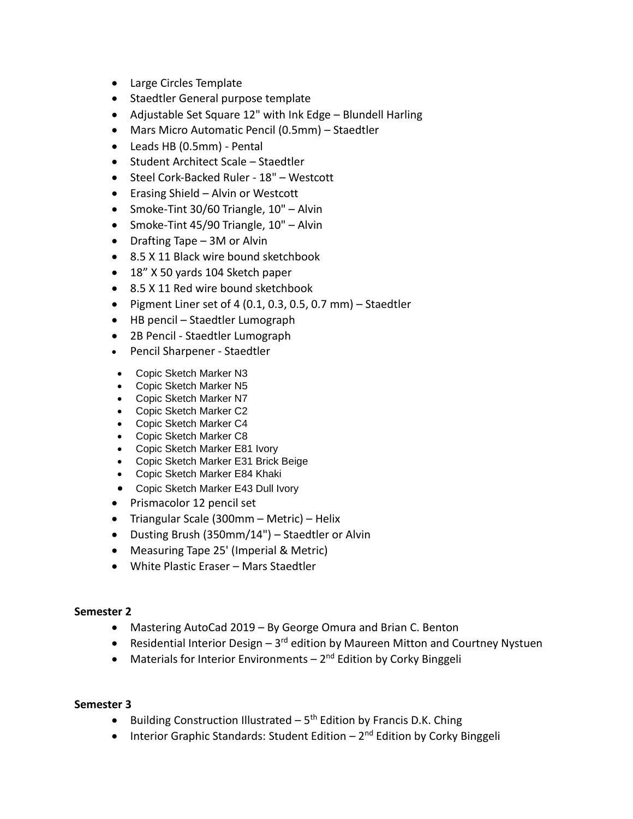- Large Circles Template
- Staedtler General purpose template
- Adjustable Set Square 12" with Ink Edge Blundell Harling
- Mars Micro Automatic Pencil (0.5mm) Staedtler
- Leads HB (0.5mm) Pental
- Student Architect Scale Staedtler
- Steel Cork-Backed Ruler 18" Westcott
- Erasing Shield Alvin or Westcott
- Smoke-Tint 30/60 Triangle, 10" Alvin
- Smoke-Tint 45/90 Triangle, 10" Alvin
- Drafting Tape 3M or Alvin
- 8.5 X 11 Black wire bound sketchbook
- 18" X 50 yards 104 Sketch paper
- 8.5 X 11 Red wire bound sketchbook
- Pigment Liner set of 4 (0.1, 0.3, 0.5, 0.7 mm)  $-$  Staedtler
- HB pencil Staedtler Lumograph
- 2B Pencil Staedtler Lumograph
- Pencil Sharpener Staedtler
- Copic Sketch Marker N3
- Copic Sketch Marker N5
- Copic Sketch Marker N7
- Copic Sketch Marker C2
- Copic Sketch Marker C4
- Copic Sketch Marker C8
- Copic Sketch Marker E81 Ivory
- Copic Sketch Marker E31 Brick Beige
- Copic Sketch Marker E84 Khaki
- Copic Sketch Marker E43 Dull Ivory
- Prismacolor 12 pencil set
- Triangular Scale (300mm Metric) Helix
- Dusting Brush (350mm/14") Staedtler or Alvin
- Measuring Tape 25' (Imperial & Metric)
- White Plastic Eraser Mars Staedtler

#### **Semester 2**

- Mastering AutoCad 2019 By George Omura and Brian C. Benton
- Residential Interior Design  $-3^{rd}$  edition by Maureen Mitton and Courtney Nystuen
- Materials for Interior Environments 2<sup>nd</sup> Edition by Corky Binggeli

#### **Semester 3**

- Building Construction Illustrated  $-5<sup>th</sup>$  Edition by Francis D.K. Ching
- Interior Graphic Standards: Student Edition 2<sup>nd</sup> Edition by Corky Binggeli